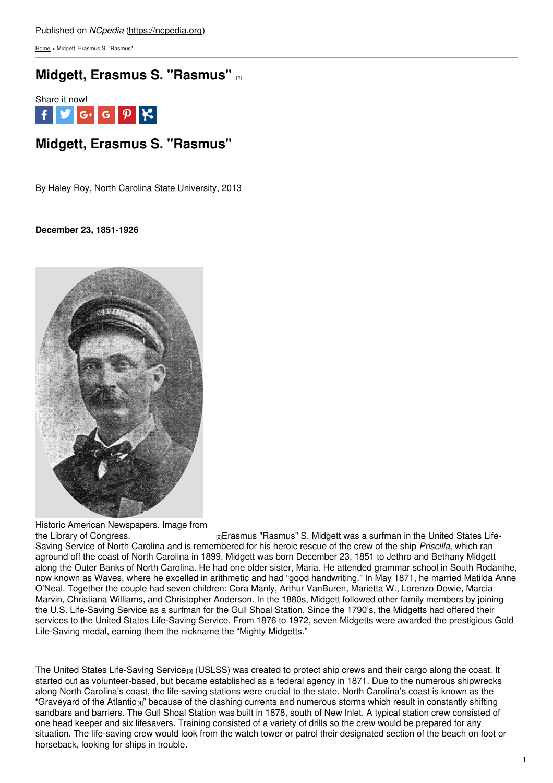[Home](https://ncpedia.org/) > Midgett, Erasmus S. "Rasmus"

# **Midgett, Erasmus S. ["Rasmus"](https://ncpedia.org/midgett-erasmus-s-rasmus) [1]**



## **Midgett, Erasmus S. "Rasmus"**

By Haley Roy, North Carolina State University, 2013

### **December 23, 1851-1926**



Historic American Newspapers. Image from<br>the Library of Congress.

<sub>[2]</sub>Erasmus "Rasmus" S. Midgett was a surfman in the United States Life-Saving Service of North Carolina and is remembered for his heroic rescue of the crew of the ship *Priscilla*, which ran aground off the coast of North Carolina in 1899. Midgett was born December 23, 1851 to Jethro and Bethany Midgett along the Outer Banks of North Carolina. He had one older sister, Maria. He attended grammar school in South Rodanthe, now known as Waves, where he excelled in arithmetic and had "good handwriting." In May 1871, he married Matilda Anne O'Neal. Together the couple had seven children: Cora Manly, Arthur VanBuren, Marietta W., Lorenzo Dowie, Marcia Marvin, Christiana Williams, and Christopher Anderson. In the 1880s, Midgett followed other family members by joining the U.S. Life-Saving Service as a surfman for the Gull Shoal Station. Since the 1790's, the Midgetts had offered their services to the United States Life-Saving Service. From 1876 to 1972, seven Midgetts were awarded the prestigious Gold Life-Saving medal, earning them the nickname the "Mighty Midgetts."

The United States [Life-Saving](https://ncpedia.org/lifesaving-service-us) Service<sup>[3]</sup> (USLSS) was created to protect ship crews and their cargo along the coast. It started out as volunteer-based, but became established as a federal agency in 1871. Due to the numerous shipwrecks along North Carolina's coast, the life-saving stations were crucial to the state. North Carolina's coast is known as the ["Graveyard](https://ncpedia.org/graveyard-atlantic) of the Atlantic [4]" because of the clashing currents and numerous storms which result in constantly shifting sandbars and barriers. The Gull Shoal Station was built in 1878, south of New Inlet. A typical station crew consisted of one head keeper and six lifesavers. Training consisted of a variety of drills so the crew would be prepared for any situation. The life-saving crew would look from the watch tower or patrol their designated section of the beach on foot or horseback, looking for ships in trouble.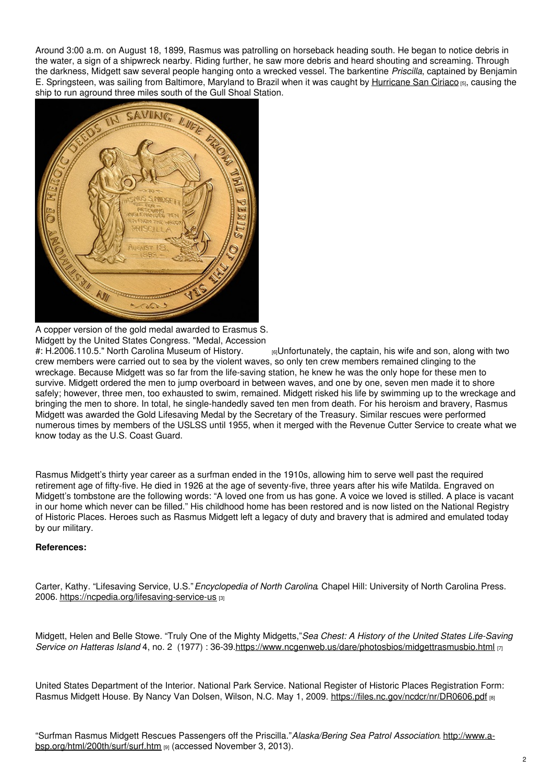Around 3:00 a.m. on August 18, 1899, Rasmus was patrolling on horseback heading south. He began to notice debris in the water, a sign of a shipwreck nearby. Riding further, he saw more debris and heard shouting and screaming. Through the darkness, Midgett saw several people hanging onto a wrecked vessel. The barkentine *Priscilla*, captained by Benjamin E. Springsteen, was sailing from Baltimore, Maryland to Brazil when it was caught by [Hurricane](http://www.ecu.edu/renci/StormsToLife/SanCiriaco/index.html) San Ciriaco [5], causing the ship to run aground three miles south of the Gull Shoal Station.



A copper version of the gold medal awarded to Erasmus S. Midgett by the United States Congress. "Medal, Accession #: H.2006.110.5." North Carolina Museum of History.

 $_{[6]}$ Unfortunately, the captain, his wife and son, along with two crew members were carried out to sea by the violent waves, so only ten crew members remained clinging to the wreckage. Because Midgett was so far from the life-saving station, he knew he was the only hope for these men to survive. Midgett ordered the men to jump overboard in between waves, and one by one, seven men made it to shore safely; however, three men, too exhausted to swim, remained. Midgett risked his life by swimming up to the wreckage and bringing the men to shore. In total, he single-handedly saved ten men from death. For his heroism and bravery, Rasmus Midgett was awarded the Gold Lifesaving Medal by the Secretary of the Treasury. Similar rescues were performed numerous times by members of the USLSS until 1955, when it merged with the Revenue Cutter Service to create what we know today as the U.S. Coast Guard.

Rasmus Midgett's thirty year career as a surfman ended in the 1910s, allowing him to serve well past the required retirement age of fifty-five. He died in 1926 at the age of seventy-five, three years after his wife Matilda. Engraved on Midgett's tombstone are the following words: "A loved one from us has gone. A voice we loved is stilled. A place is vacant in our home which never can be filled." His childhood home has been restored and is now listed on the National Registry of Historic Places. Heroes such as Rasmus Midgett left a legacy of duty and bravery that is admired and emulated today by our military.

### **References:**

Carter, Kathy. "Lifesaving Service, U.S."*Encyclopedia of North Carolina*. Chapel Hill: University of North Carolina Press. 2006. <https://ncpedia.org/lifesaving-service-us> [3]

Midgett, Helen and Belle Stowe. "Truly One of the Mighty Midgetts,"*Sea Chest: A History of the United States Life-Saving Service on Hatteras Island* 4, no. 2 (1977) : 36-39.<https://www.ncgenweb.us/dare/photosbios/midgettrasmusbio.html> [7]

United States Department of the Interior. National Park Service. National Register of Historic Places Registration Form: Rasmus Midgett House. By Nancy Van Dolsen, Wilson, N.C. May 1, 2009. <https://files.nc.gov/ncdcr/nr/DR0606.pdf> [8]

"Surfman Rasmus Midgett Rescues Passengers off the Priscilla."*Alaska/Bering Sea Patrol Association*. http://www.a[bsp.org/html/200th/surf/surf.htm](http://www.a-bsp.org/html/200th/surf/surf.htm) [9] (accessed November 3, 2013).